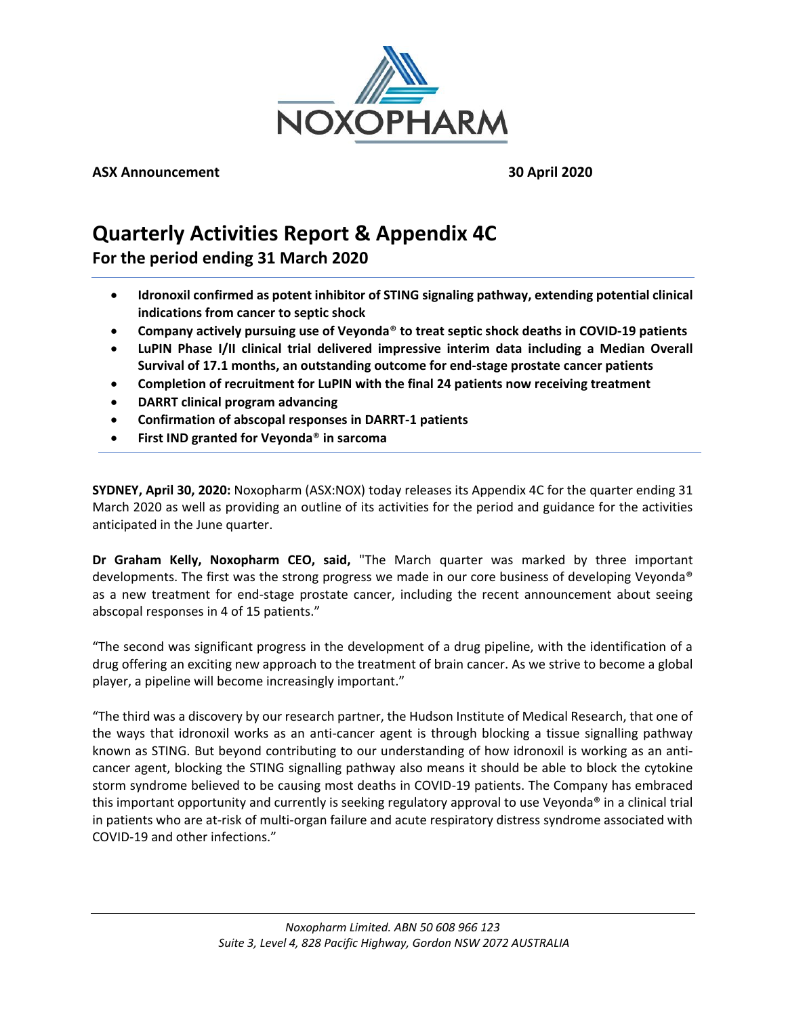

**ASX Announcement 30 April 2020**

# **Quarterly Activities Report & Appendix 4C**

**For the period ending 31 March 2020**

- **Idronoxil confirmed as potent inhibitor of STING signaling pathway, extending potential clinical indications from cancer to septic shock**
- **Company actively pursuing use of Veyonda**® **to treat septic shock deaths in COVID-19 patients**
- **LuPIN Phase I/II clinical trial delivered impressive interim data including a Median Overall Survival of 17.1 months, an outstanding outcome for end-stage prostate cancer patients**
- **Completion of recruitment for LuPIN with the final 24 patients now receiving treatment**
- **DARRT clinical program advancing**
- **Confirmation of abscopal responses in DARRT-1 patients**
- **First IND granted for Veyonda**® **in sarcoma**

**SYDNEY, April 30, 2020:** Noxopharm (ASX:NOX) today releases its Appendix 4C for the quarter ending 31 March 2020 as well as providing an outline of its activities for the period and guidance for the activities anticipated in the June quarter.

**Dr Graham Kelly, Noxopharm CEO, said,** "The March quarter was marked by three important developments. The first was the strong progress we made in our core business of developing Veyonda® as a new treatment for end-stage prostate cancer, including the recent announcement about seeing abscopal responses in 4 of 15 patients."

"The second was significant progress in the development of a drug pipeline, with the identification of a drug offering an exciting new approach to the treatment of brain cancer. As we strive to become a global player, a pipeline will become increasingly important."

"The third was a discovery by our research partner, the Hudson Institute of Medical Research, that one of the ways that idronoxil works as an anti-cancer agent is through blocking a tissue signalling pathway known as STING. But beyond contributing to our understanding of how idronoxil is working as an anticancer agent, blocking the STING signalling pathway also means it should be able to block the cytokine storm syndrome believed to be causing most deaths in COVID-19 patients. The Company has embraced this important opportunity and currently is seeking regulatory approval to use Veyonda® in a clinical trial in patients who are at-risk of multi-organ failure and acute respiratory distress syndrome associated with COVID-19 and other infections."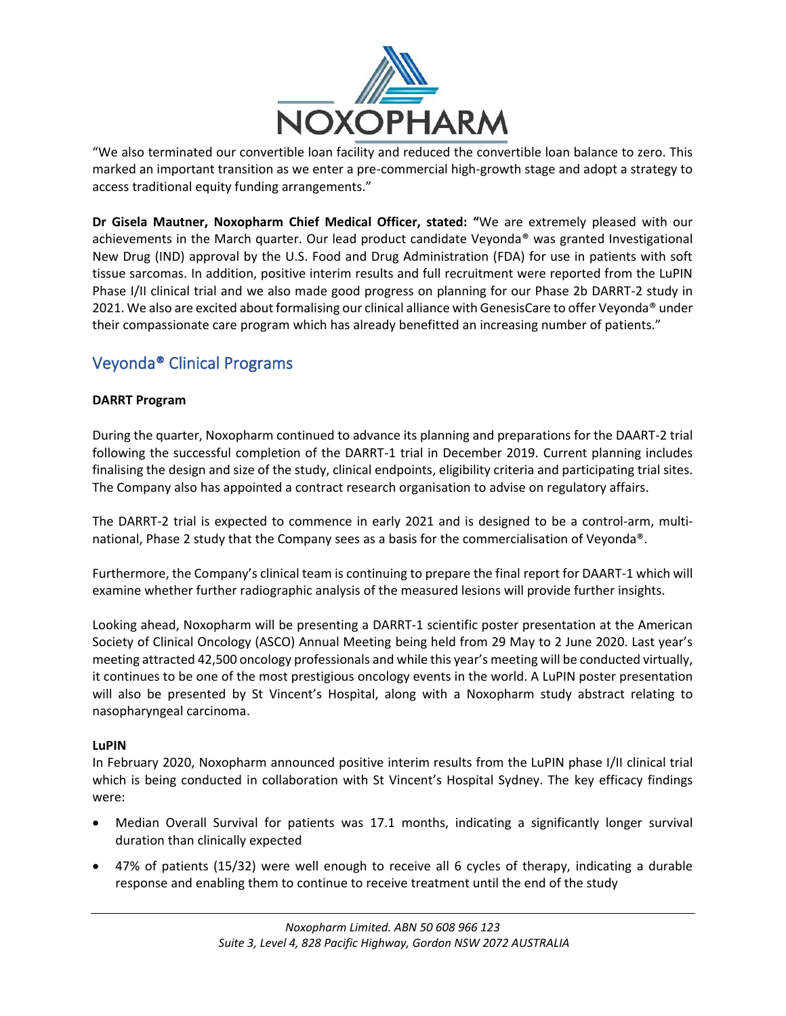

"We also terminated our convertible loan facility and reduced the convertible loan balance to zero. This marked an important transition as we enter a pre-commercial high-growth stage and adopt a strategy to access traditional equity funding arrangements."

**Dr Gisela Mautner, Noxopharm Chief Medical Officer, stated: "**We are extremely pleased with our achievements in the March quarter. Our lead product candidate Veyonda® was granted Investigational New Drug (IND) approval by the U.S. Food and Drug Administration (FDA) for use in patients with soft tissue sarcomas. In addition, positive interim results and full recruitment were reported from the LuPIN Phase I/II clinical trial and we also made good progress on planning for our Phase 2b DARRT-2 study in 2021. We also are excited about formalising our clinical alliance with GenesisCare to offer Veyonda® under their compassionate care program which has already benefitted an increasing number of patients."

## Veyonda® Clinical Programs

### **DARRT Program**

During the quarter, Noxopharm continued to advance its planning and preparations for the DAART-2 trial following the successful completion of the DARRT-1 trial in December 2019. Current planning includes finalising the design and size of the study, clinical endpoints, eligibility criteria and participating trial sites. The Company also has appointed a contract research organisation to advise on regulatory affairs.

The DARRT-2 trial is expected to commence in early 2021 and is designed to be a control-arm, multinational, Phase 2 study that the Company sees as a basis for the commercialisation of Veyonda®.

Furthermore, the Company's clinical team is continuing to prepare the final report for DAART-1 which will examine whether further radiographic analysis of the measured lesions will provide further insights.

Looking ahead, Noxopharm will be presenting a DARRT-1 scientific poster presentation at the American Society of Clinical Oncology (ASCO) Annual Meeting being held from 29 May to 2 June 2020. Last year's meeting attracted 42,500 oncology professionals and while this year's meeting will be conducted virtually, it continues to be one of the most prestigious oncology events in the world. A LuPIN poster presentation will also be presented by St Vincent's Hospital, along with a Noxopharm study abstract relating to nasopharyngeal carcinoma.

#### **LuPIN**

In February 2020, Noxopharm announced positive interim results from the LuPIN phase I/II clinical trial which is being conducted in collaboration with St Vincent's Hospital Sydney. The key efficacy findings were:

- Median Overall Survival for patients was 17.1 months, indicating a significantly longer survival duration than clinically expected
- 47% of patients (15/32) were well enough to receive all 6 cycles of therapy, indicating a durable response and enabling them to continue to receive treatment until the end of the study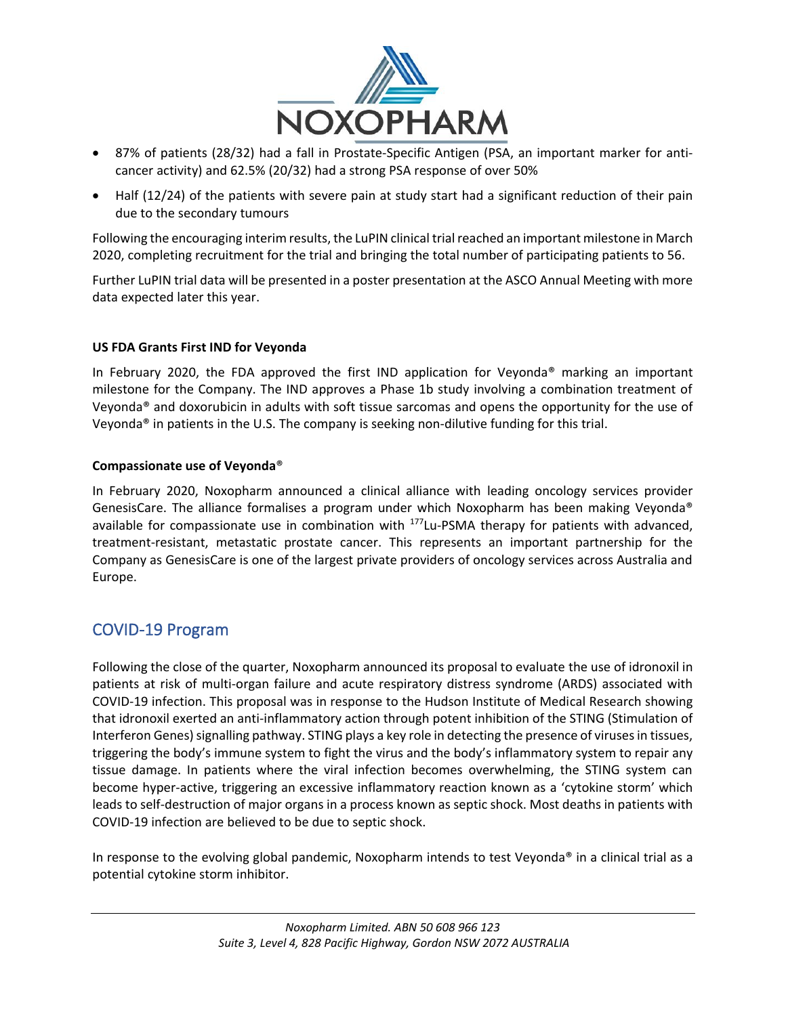

- 87% of patients (28/32) had a fall in Prostate-Specific Antigen (PSA, an important marker for anticancer activity) and 62.5% (20/32) had a strong PSA response of over 50%
- Half (12/24) of the patients with severe pain at study start had a significant reduction of their pain due to the secondary tumours

Following the encouraging interim results, the LuPIN clinical trial reached an important milestone in March 2020, completing recruitment for the trial and bringing the total number of participating patients to 56.

Further LuPIN trial data will be presented in a poster presentation at the ASCO Annual Meeting with more data expected later this year.

#### **US FDA Grants First IND for Veyonda**

In February 2020, the FDA approved the first IND application for Veyonda® marking an important milestone for the Company. The IND approves a Phase 1b study involving a combination treatment of Veyonda® and doxorubicin in adults with soft tissue sarcomas and opens the opportunity for the use of Veyonda® in patients in the U.S. The company is seeking non-dilutive funding for this trial.

#### **Compassionate use of Veyonda**®

In February 2020, Noxopharm announced a clinical alliance with leading oncology services provider GenesisCare. The alliance formalises a program under which Noxopharm has been making Veyonda® available for compassionate use in combination with  $177$ Lu-PSMA therapy for patients with advanced, treatment-resistant, metastatic prostate cancer. This represents an important partnership for the Company as GenesisCare is one of the largest private providers of oncology services across Australia and Europe.

## COVID-19 Program

Following the close of the quarter, Noxopharm announced its proposal to evaluate the use of idronoxil in patients at risk of multi-organ failure and acute respiratory distress syndrome (ARDS) associated with COVID-19 infection. This proposal was in response to the Hudson Institute of Medical Research showing that idronoxil exerted an anti-inflammatory action through potent inhibition of the STING (Stimulation of Interferon Genes) signalling pathway. STING plays a key role in detecting the presence of viruses in tissues, triggering the body's immune system to fight the virus and the body's inflammatory system to repair any tissue damage. In patients where the viral infection becomes overwhelming, the STING system can become hyper-active, triggering an excessive inflammatory reaction known as a 'cytokine storm' which leads to self-destruction of major organs in a process known as septic shock. Most deaths in patients with COVID-19 infection are believed to be due to septic shock.

In response to the evolving global pandemic, Noxopharm intends to test Veyonda® in a clinical trial as a potential cytokine storm inhibitor.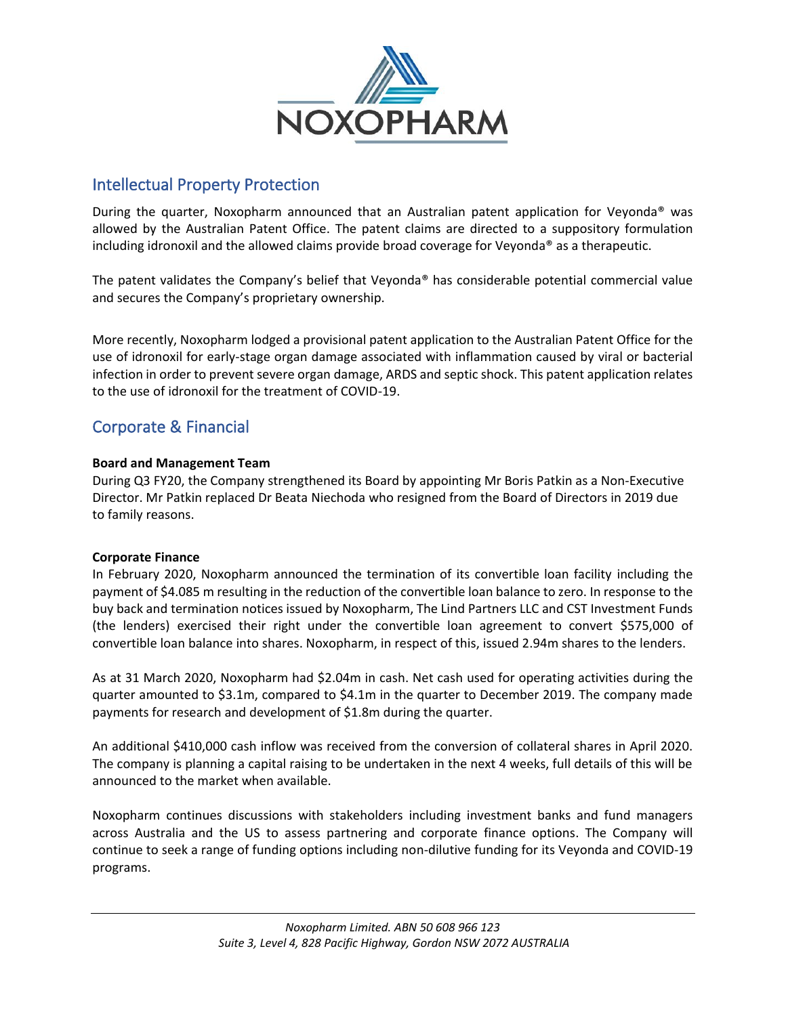

## Intellectual Property Protection

During the quarter, Noxopharm announced that an Australian patent application for Veyonda® was allowed by the Australian Patent Office. The patent claims are directed to a suppository formulation including idronoxil and the allowed claims provide broad coverage for Veyonda® as a therapeutic.

The patent validates the Company's belief that Veyonda® has considerable potential commercial value and secures the Company's proprietary ownership.

More recently, Noxopharm lodged a provisional patent application to the Australian Patent Office for the use of idronoxil for early-stage organ damage associated with inflammation caused by viral or bacterial infection in order to prevent severe organ damage, ARDS and septic shock. This patent application relates to the use of idronoxil for the treatment of COVID-19.

### Corporate & Financial

#### **Board and Management Team**

During Q3 FY20, the Company strengthened its Board by appointing Mr Boris Patkin as a Non-Executive Director. Mr Patkin replaced Dr Beata Niechoda who resigned from the Board of Directors in 2019 due to family reasons.

#### **Corporate Finance**

In February 2020, Noxopharm announced the termination of its convertible loan facility including the payment of \$4.085 m resulting in the reduction of the convertible loan balance to zero. In response to the buy back and termination notices issued by Noxopharm, The Lind Partners LLC and CST Investment Funds (the lenders) exercised their right under the convertible loan agreement to convert \$575,000 of convertible loan balance into shares. Noxopharm, in respect of this, issued 2.94m shares to the lenders.

As at 31 March 2020, Noxopharm had \$2.04m in cash. Net cash used for operating activities during the quarter amounted to \$3.1m, compared to \$4.1m in the quarter to December 2019. The company made payments for research and development of \$1.8m during the quarter.

An additional \$410,000 cash inflow was received from the conversion of collateral shares in April 2020. The company is planning a capital raising to be undertaken in the next 4 weeks, full details of this will be announced to the market when available.

Noxopharm continues discussions with stakeholders including investment banks and fund managers across Australia and the US to assess partnering and corporate finance options. The Company will continue to seek a range of funding options including non-dilutive funding for its Veyonda and COVID-19 programs.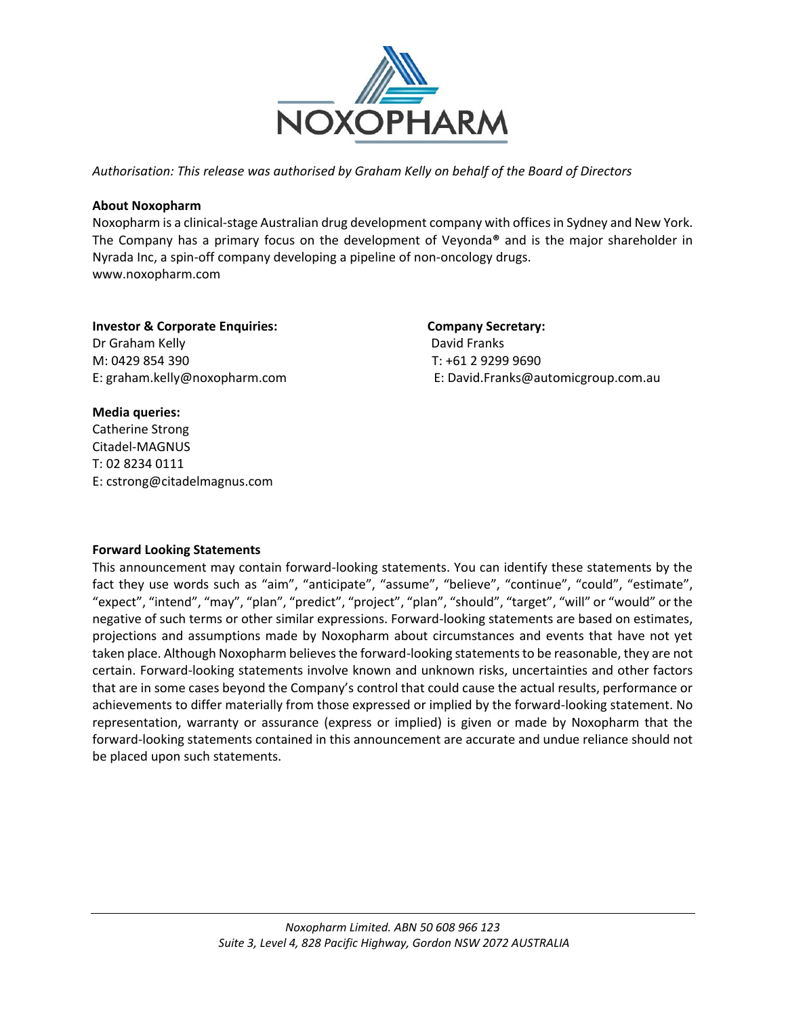

*Authorisation: This release was authorised by Graham Kelly on behalf of the Board of Directors*

#### **About Noxopharm**

Noxopharm is a clinical-stage Australian drug development company with offices in Sydney and New York. The Company has a primary focus on the development of Veyonda**®** and is the major shareholder in Nyrada Inc, a spin-off company developing a pipeline of non-oncology drugs. www.noxopharm.com

**Investor & Corporate Enquiries: Company Secretary:**  Dr Graham Kelly **David Franks** M: 0429 854 390 T: +61 2 9299 9690

E: graham.kelly@noxopharm.com E: David.Franks@automicgroup.com.au

#### **Media queries:**

Catherine Strong Citadel-MAGNUS T: 02 8234 0111 E: cstrong@citadelmagnus.com

#### **Forward Looking Statements**

This announcement may contain forward-looking statements. You can identify these statements by the fact they use words such as "aim", "anticipate", "assume", "believe", "continue", "could", "estimate", "expect", "intend", "may", "plan", "predict", "project", "plan", "should", "target", "will" or "would" or the negative of such terms or other similar expressions. Forward-looking statements are based on estimates, projections and assumptions made by Noxopharm about circumstances and events that have not yet taken place. Although Noxopharm believes the forward-looking statements to be reasonable, they are not certain. Forward-looking statements involve known and unknown risks, uncertainties and other factors that are in some cases beyond the Company's control that could cause the actual results, performance or achievements to differ materially from those expressed or implied by the forward-looking statement. No representation, warranty or assurance (express or implied) is given or made by Noxopharm that the forward-looking statements contained in this announcement are accurate and undue reliance should not be placed upon such statements.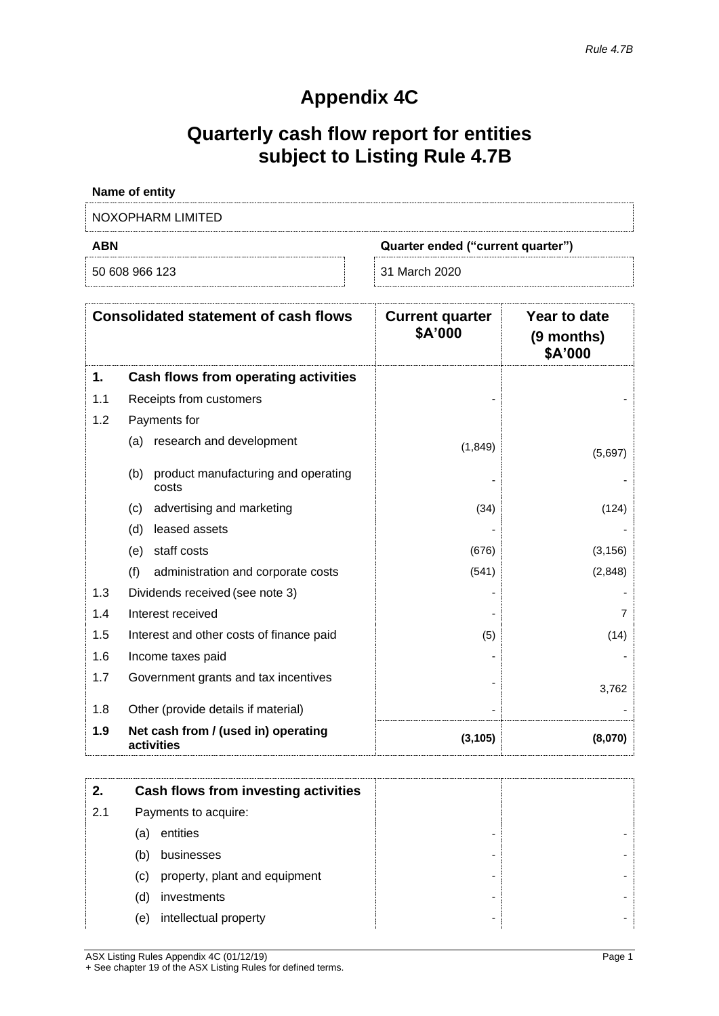# **Appendix 4C**

# **Quarterly cash flow report for entities subject to Listing Rule 4.7B**

| Name of entity    |                                   |
|-------------------|-----------------------------------|
| NOXOPHARM LIMITED |                                   |
| <b>ABN</b>        | Quarter ended ("current quarter") |
| 50 608 966 123    | 31 March 2020                     |

|     | <b>Consolidated statement of cash flows</b>         | <b>Current quarter</b><br>\$A'000 | Year to date<br>(9 months)<br>\$A'000 |
|-----|-----------------------------------------------------|-----------------------------------|---------------------------------------|
| 1.  | Cash flows from operating activities                |                                   |                                       |
| 1.1 | Receipts from customers                             |                                   |                                       |
| 1.2 | Payments for                                        |                                   |                                       |
|     | research and development<br>(a)                     | (1,849)                           | (5,697)                               |
|     | product manufacturing and operating<br>(b)<br>costs |                                   |                                       |
|     | advertising and marketing<br>(c)                    | (34)                              | (124)                                 |
|     | leased assets<br>(d)                                |                                   |                                       |
|     | staff costs<br>(e)                                  | (676)                             | (3, 156)                              |
|     | (f)<br>administration and corporate costs           | (541)                             | (2,848)                               |
| 1.3 | Dividends received (see note 3)                     |                                   |                                       |
| 1.4 | Interest received                                   |                                   | 7                                     |
| 1.5 | Interest and other costs of finance paid            | (5)                               | (14)                                  |
| 1.6 | Income taxes paid                                   |                                   |                                       |
| 1.7 | Government grants and tax incentives                |                                   | 3,762                                 |
| 1.8 | Other (provide details if material)                 |                                   |                                       |
| 1.9 | Net cash from / (used in) operating<br>activities   | (3, 105)                          | (8,070)                               |

| 2.  |     | Cash flows from investing activities |  |
|-----|-----|--------------------------------------|--|
| 2.1 |     | Payments to acquire:                 |  |
|     | (a) | entities                             |  |
|     | (b) | businesses                           |  |
|     | (c) | property, plant and equipment        |  |
|     | (d) | investments                          |  |
|     | (e) | intellectual property                |  |

ASX Listing Rules Appendix 4C (01/12/19) Page 1 + See chapter 19 of the ASX Listing Rules for defined terms.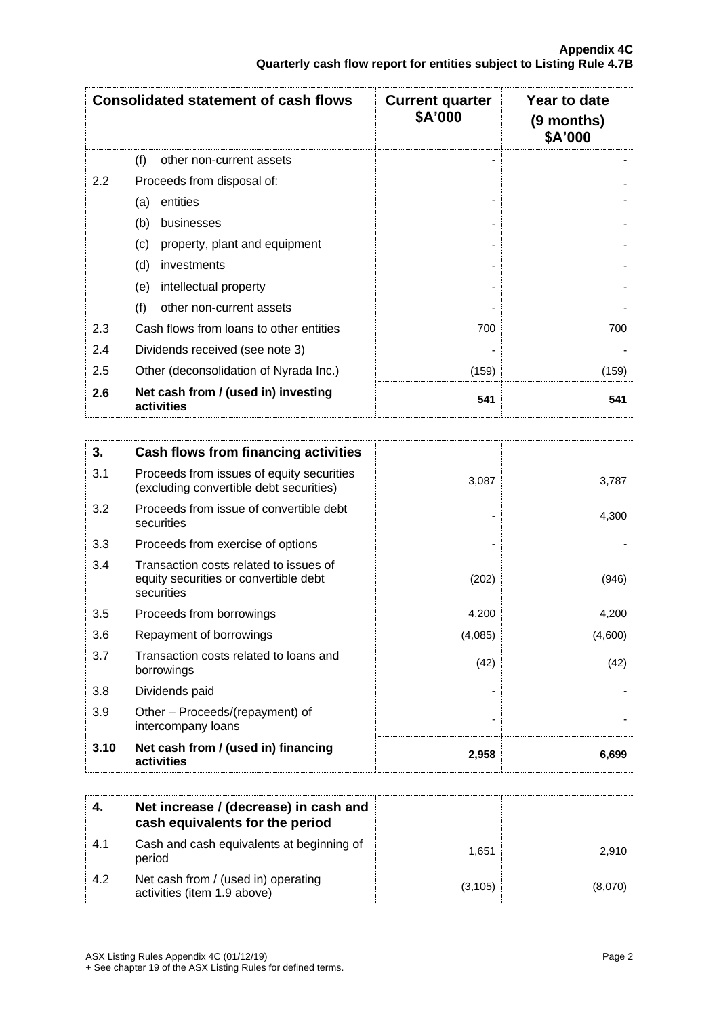|     | <b>Consolidated statement of cash flows</b>       | <b>Current quarter</b><br>\$A'000 | Year to date<br>(9 months)<br>\$A'000 |
|-----|---------------------------------------------------|-----------------------------------|---------------------------------------|
|     | (f)<br>other non-current assets                   |                                   |                                       |
| 2.2 | Proceeds from disposal of:                        |                                   |                                       |
|     | entities<br>(a)                                   |                                   |                                       |
|     | (b)<br>businesses                                 |                                   |                                       |
|     | property, plant and equipment<br>(c)              |                                   |                                       |
|     | (d)<br>investments                                |                                   |                                       |
|     | intellectual property<br>(e)                      |                                   |                                       |
|     | (f)<br>other non-current assets                   |                                   |                                       |
| 2.3 | Cash flows from loans to other entities           | 700                               | 700                                   |
| 2.4 | Dividends received (see note 3)                   |                                   |                                       |
| 2.5 | Other (deconsolidation of Nyrada Inc.)            | (159)                             | (159)                                 |
| 2.6 | Net cash from / (used in) investing<br>activities | 541                               | 541                                   |

| 3.   | Cash flows from financing activities                                                          |         |         |
|------|-----------------------------------------------------------------------------------------------|---------|---------|
| 3.1  | Proceeds from issues of equity securities<br>(excluding convertible debt securities)          | 3,087   | 3,787   |
| 3.2  | Proceeds from issue of convertible debt<br>securities                                         |         | 4,300   |
| 3.3  | Proceeds from exercise of options                                                             |         |         |
| 3.4  | Transaction costs related to issues of<br>equity securities or convertible debt<br>securities | (202)   | (946)   |
| 3.5  | Proceeds from borrowings                                                                      | 4,200   | 4,200   |
| 3.6  | Repayment of borrowings                                                                       | (4,085) | (4,600) |
| 3.7  | Transaction costs related to loans and<br>borrowings                                          | (42)    | (42)    |
| 3.8  | Dividends paid                                                                                |         |         |
| 3.9  | Other – Proceeds/(repayment) of<br>intercompany loans                                         |         |         |
| 3.10 | Net cash from / (used in) financing<br>activities                                             | 2,958   | 6,699   |

|     | Net increase / (decrease) in cash and<br>cash equivalents for the period |          |         |
|-----|--------------------------------------------------------------------------|----------|---------|
| 4.1 | Cash and cash equivalents at beginning of<br>period                      | 1.651    | 2.910   |
| 4.2 | Net cash from / (used in) operating<br>activities (item 1.9 above)       | (3, 105) | (8,070) |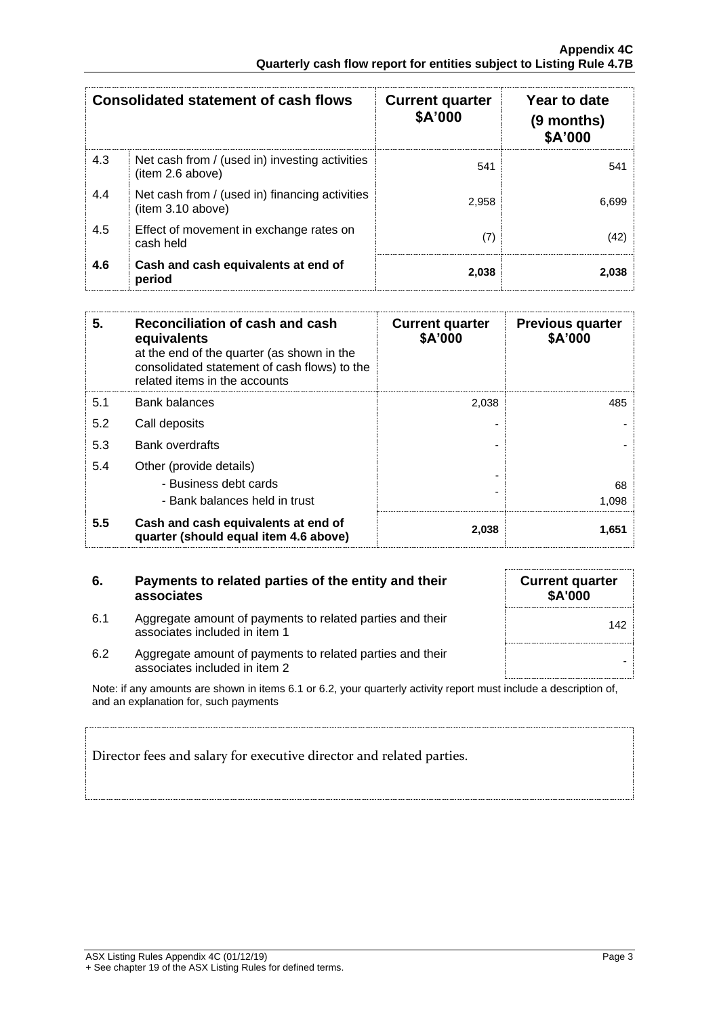|     | <b>Consolidated statement of cash flows</b>                         | <b>Current quarter</b><br>\$A'000 | Year to date<br>(9 months)<br>\$A'000 |
|-----|---------------------------------------------------------------------|-----------------------------------|---------------------------------------|
| 4.3 | Net cash from / (used in) investing activities<br>(item 2.6 above)  | 541                               | 541                                   |
| 4.4 | Net cash from / (used in) financing activities<br>(item 3.10 above) | 2,958                             | 6,699                                 |
| 4.5 | Effect of movement in exchange rates on<br>cash held                | (7)                               | (42)                                  |
| 4.6 | Cash and cash equivalents at end of<br>period                       | 2,038                             | 2,038                                 |

| 5.  | Reconciliation of cash and cash<br>equivalents<br>at the end of the quarter (as shown in the<br>consolidated statement of cash flows) to the<br>related items in the accounts | <b>Current quarter</b><br>\$A'000 | <b>Previous quarter</b><br>\$A'000 |
|-----|-------------------------------------------------------------------------------------------------------------------------------------------------------------------------------|-----------------------------------|------------------------------------|
| 5.1 | <b>Bank balances</b>                                                                                                                                                          | 2,038                             | 485                                |
| 5.2 | Call deposits                                                                                                                                                                 |                                   |                                    |
| 5.3 | <b>Bank overdrafts</b>                                                                                                                                                        |                                   |                                    |
| 5.4 | Other (provide details)<br>- Business debt cards<br>- Bank balances held in trust                                                                                             |                                   | 68<br>1,098                        |
| 5.5 | Cash and cash equivalents at end of<br>quarter (should equal item 4.6 above)                                                                                                  | 2,038                             | 1,651                              |

| 6.  | Payments to related parties of the entity and their<br>associates                                                 | <b>Current quarter</b><br><b>\$A'000</b> |
|-----|-------------------------------------------------------------------------------------------------------------------|------------------------------------------|
| 6.1 | Aggregate amount of payments to related parties and their<br>associates included in item 1                        | 142                                      |
| 6.2 | Aggregate amount of payments to related parties and their<br>associates included in item 2                        |                                          |
|     | Note: if any amounts are shown in items 6.1 or 6.2, your quarterly activity report must include a description of, |                                          |

and an explanation for, such payments

Director fees and salary for executive director and related parties.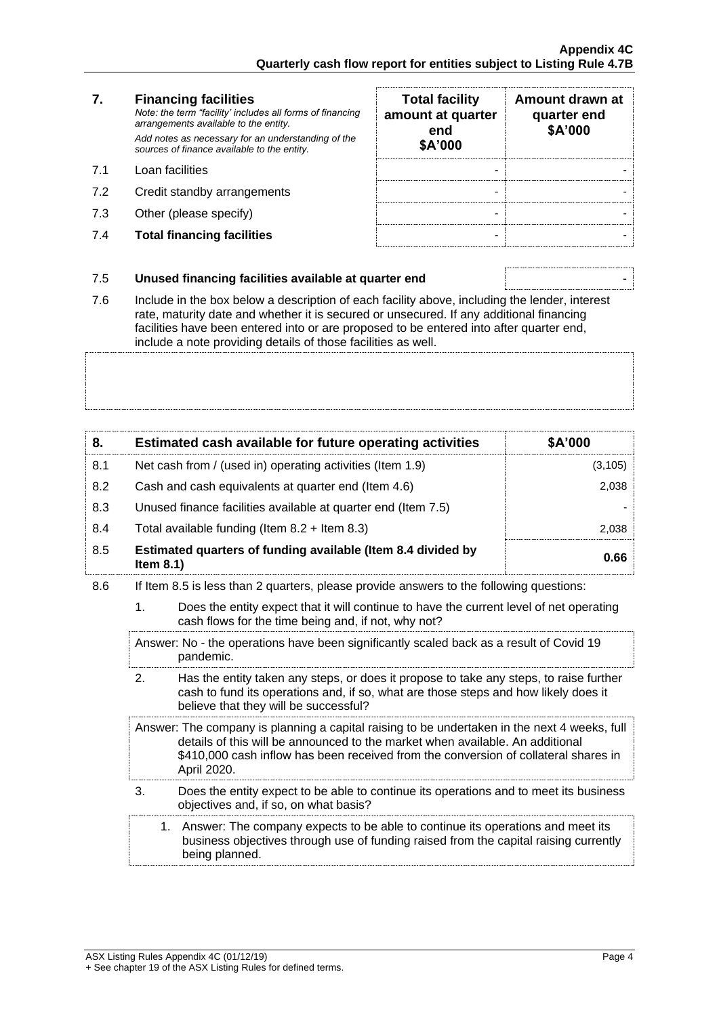#### **7. Financing facilities** *Note: the term "facility' includes all forms of financing arrangements available to the entity. Add notes as necessary for an understanding of the sources of finance available to the entity.* 7.1 Loan facilities

- 
- 7.2 Credit standby arrangements
- 7.3 Other (please specify)
- **7.4 Total financing facilities**

| <b>Total facility</b><br>amount at quarter<br>end<br>\$A'000 | Amount drawn at<br>quarter end<br>\$A'000 |
|--------------------------------------------------------------|-------------------------------------------|
|                                                              |                                           |
|                                                              |                                           |
|                                                              |                                           |
|                                                              |                                           |

### 7.5 **Unused financing facilities available at quarter end** -

7.6 Include in the box below a description of each facility above, including the lender, interest rate, maturity date and whether it is secured or unsecured. If any additional financing facilities have been entered into or are proposed to be entered into after quarter end, include a note providing details of those facilities as well.

| 8.  | Estimated cash available for future operating activities                     | \$A'000  |
|-----|------------------------------------------------------------------------------|----------|
| 8.1 | Net cash from / (used in) operating activities (Item 1.9)                    | (3, 105) |
| 8.2 | Cash and cash equivalents at quarter end (Item 4.6)                          | 2,038    |
| 8.3 | Unused finance facilities available at quarter end (Item 7.5)                |          |
| 8.4 | Total available funding (Item $8.2 +$ Item $8.3$ )                           | 2,038    |
| 8.5 | Estimated quarters of funding available (Item 8.4 divided by<br>Item $8.1$ ) | 0.66     |

- 8.6 If Item 8.5 is less than 2 quarters, please provide answers to the following questions:
	- 1. Does the entity expect that it will continue to have the current level of net operating cash flows for the time being and, if not, why not?

Answer: No - the operations have been significantly scaled back as a result of Covid 19 pandemic.

2. Has the entity taken any steps, or does it propose to take any steps, to raise further cash to fund its operations and, if so, what are those steps and how likely does it believe that they will be successful?

Answer: The company is planning a capital raising to be undertaken in the next 4 weeks, full details of this will be announced to the market when available. An additional \$410,000 cash inflow has been received from the conversion of collateral shares in April 2020.

- 3. Does the entity expect to be able to continue its operations and to meet its business objectives and, if so, on what basis?
- 1. Answer: The company expects to be able to continue its operations and meet its business objectives through use of funding raised from the capital raising currently being planned.